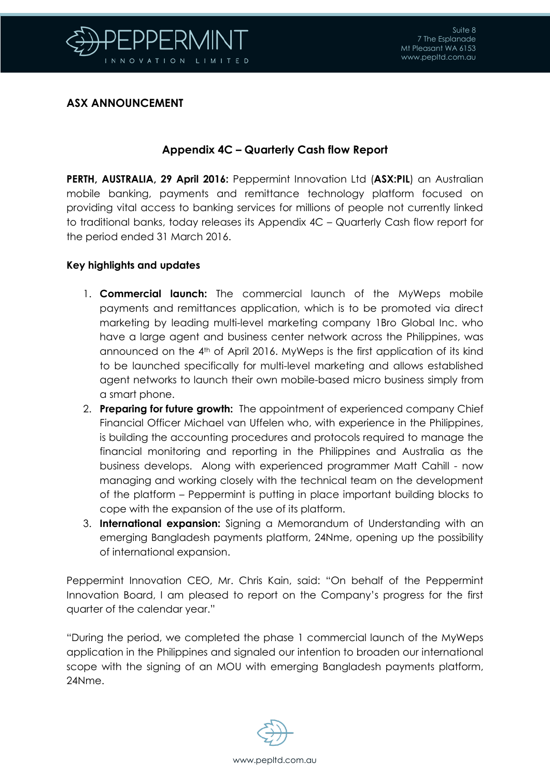

### **ASX ANNOUNCEMENT**

## **Appendix 4C – Quarterly Cash flow Report**

**PERTH, AUSTRALIA, 29 April 2016:** Peppermint Innovation Ltd (**ASX:PIL**) an Australian mobile banking, payments and remittance technology platform focused on providing vital access to banking services for millions of people not currently linked to traditional banks, today releases its Appendix 4C – Quarterly Cash flow report for the period ended 31 March 2016.

#### **Key highlights and updates**

- 1. **Commercial launch:** The commercial launch of the MyWeps mobile payments and remittances application, which is to be promoted via direct marketing by leading multi-level marketing company 1Bro Global Inc. who have a large agent and business center network across the Philippines, was announced on the 4th of April 2016. MyWeps is the first application of its kind to be launched specifically for multi-level marketing and allows established agent networks to launch their own mobile-based micro business simply from a smart phone.
- 2. **Preparing for future growth:** The appointment of experienced company Chief Financial Officer Michael van Uffelen who, with experience in the Philippines, is building the accounting procedures and protocols required to manage the financial monitoring and reporting in the Philippines and Australia as the business develops. Along with experienced programmer Matt Cahill - now managing and working closely with the technical team on the development of the platform – Peppermint is putting in place important building blocks to cope with the expansion of the use of its platform.
- 3. **International expansion:** Signing a Memorandum of Understanding with an emerging Bangladesh payments platform, 24Nme, opening up the possibility of international expansion.

Peppermint Innovation CEO, Mr. Chris Kain, said: "On behalf of the Peppermint Innovation Board, I am pleased to report on the Company's progress for the first quarter of the calendar year."

"During the period, we completed the phase 1 commercial launch of the MyWeps application in the Philippines and signaled our intention to broaden our international scope with the signing of an MOU with emerging Bangladesh payments platform, 24Nme.

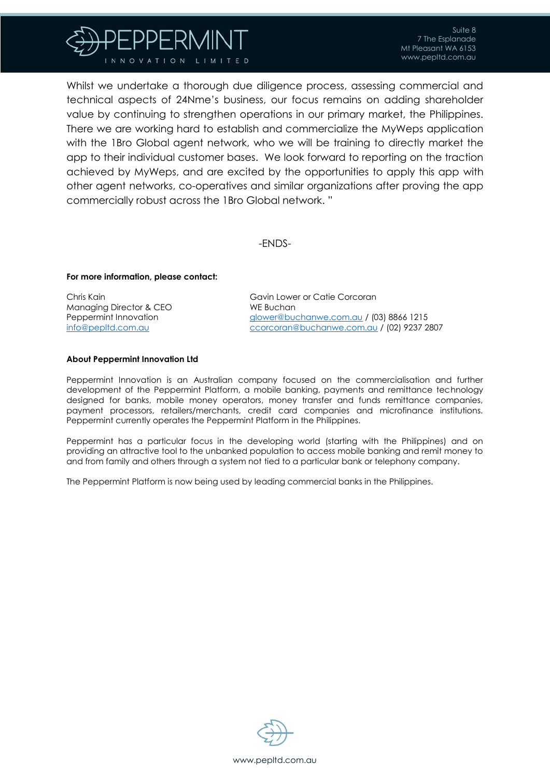

Whilst we undertake a thorough due diligence process, assessing commercial and technical aspects of 24Nme's business, our focus remains on adding shareholder value by continuing to strengthen operations in our primary market, the Philippines. There we are working hard to establish and commercialize the MyWeps application with the 1Bro Global agent network, who we will be training to directly market the app to their individual customer bases. We look forward to reporting on the traction achieved by MyWeps, and are excited by the opportunities to apply this app with other agent networks, co-operatives and similar organizations after proving the app commercially robust across the 1Bro Global network. "

-ENDS-

#### **For more information, please contact:**

Chris Kain Managing Director & CEO Peppermint Innovation [info@pepltd.com.au](mailto:info@pepltd.com.au)

Gavin Lower or Catie Corcoran WE Buchan [glower@buchanwe.com.au](mailto:glower@buchanwe.com.au) / (03) 8866 1215 [ccorcoran@buchanwe.com.au](mailto:ccorcoran@buchanwe.com.au) / (02) 9237 2807

#### **About Peppermint Innovation Ltd**

Peppermint Innovation is an Australian company focused on the commercialisation and further development of the Peppermint Platform, a mobile banking, payments and remittance technology designed for banks, mobile money operators, money transfer and funds remittance companies, payment processors, retailers/merchants, credit card companies and microfinance institutions. Peppermint currently operates the Peppermint Platform in the Philippines.

Peppermint has a particular focus in the developing world (starting with the Philippines) and on providing an attractive tool to the unbanked population to access mobile banking and remit money to and from family and others through a system not tied to a particular bank or telephony company.

The Peppermint Platform is now being used by leading commercial banks in the Philippines.

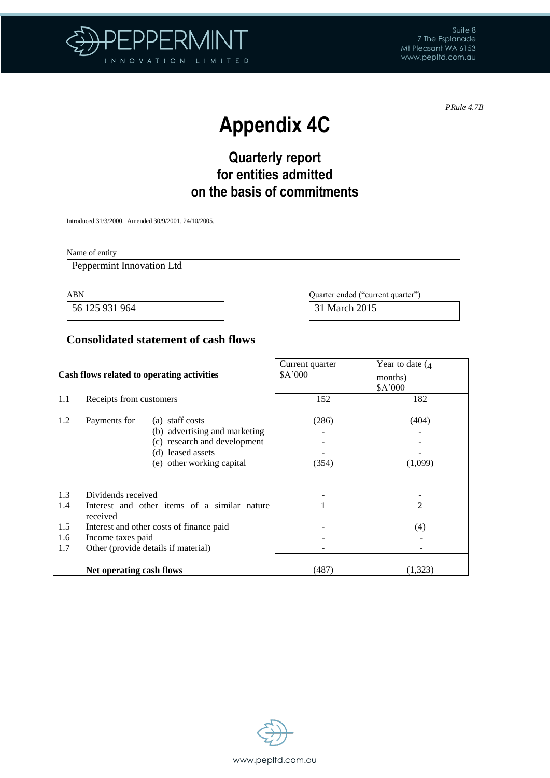

*PRule 4.7B*

 $\overline{\phantom{0}}$ 

# **Appendix 4C**

# **Quarterly report for entities admitted on the basis of commitments**

Introduced 31/3/2000. Amended 30/9/2001, 24/10/2005.

Name of entity

Peppermint Innovation Ltd

56 125 931 964 31 March 2015

ABN Quarter ended ("current quarter")

### **Consolidated statement of cash flows**

|                                 |                                                     | Cash flows related to operating activities                                                                                         | Current quarter<br>A'000 | Year to date $($<br>months)<br>\$A'000 |
|---------------------------------|-----------------------------------------------------|------------------------------------------------------------------------------------------------------------------------------------|--------------------------|----------------------------------------|
| 1.1                             | Receipts from customers                             |                                                                                                                                    | 152                      | 182                                    |
| 1.2                             | Payments for                                        | (a) staff costs<br>(b) advertising and marketing<br>(c) research and development<br>(d) leased assets<br>(e) other working capital | (286)<br>(354)           | (404)<br>(1,099)                       |
| 1.3<br>1.4<br>1.5<br>1.6<br>1.7 | Dividends received<br>received<br>Income taxes paid | Interest and other items of a similar nature<br>Interest and other costs of finance paid<br>Other (provide details if material)    |                          | $\overline{2}$<br>(4)                  |
|                                 | Net operating cash flows                            |                                                                                                                                    | (487)                    | (1,323)                                |

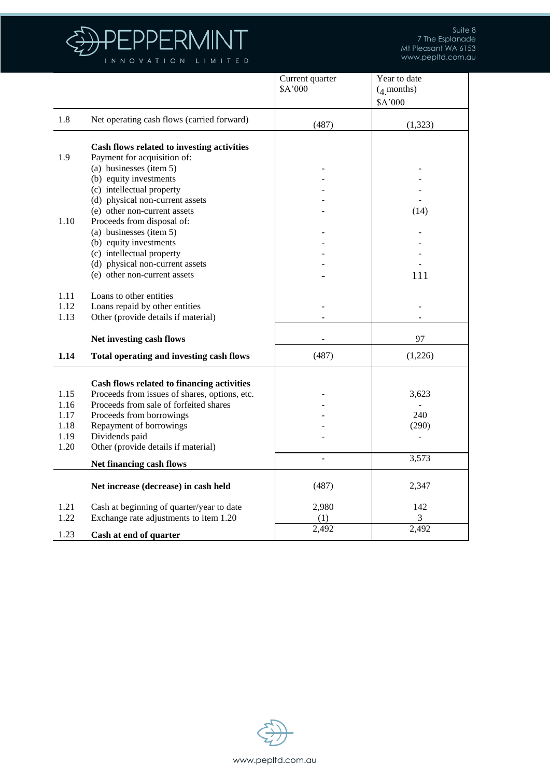

|      |                                                                       | Current quarter | Year to date |
|------|-----------------------------------------------------------------------|-----------------|--------------|
|      |                                                                       | \$A'000         | $(4$ months) |
|      |                                                                       |                 | \$A'000      |
| 1.8  | Net operating cash flows (carried forward)                            |                 |              |
|      |                                                                       | (487)           | (1, 323)     |
|      |                                                                       |                 |              |
|      | Cash flows related to investing activities                            |                 |              |
| 1.9  | Payment for acquisition of:                                           |                 |              |
|      | (a) businesses (item $5$ )                                            |                 |              |
|      | (b) equity investments                                                |                 |              |
|      | (c) intellectual property                                             |                 |              |
|      | (d) physical non-current assets                                       |                 |              |
|      | (e) other non-current assets                                          |                 | (14)         |
| 1.10 | Proceeds from disposal of:                                            |                 |              |
|      | (a) businesses (item 5)                                               |                 |              |
|      | (b) equity investments                                                |                 |              |
|      | (c) intellectual property                                             |                 |              |
|      | (d) physical non-current assets                                       |                 |              |
|      | (e) other non-current assets                                          |                 | 111          |
| 1.11 | Loans to other entities                                               |                 |              |
| 1.12 |                                                                       |                 |              |
| 1.13 | Loans repaid by other entities<br>Other (provide details if material) |                 |              |
|      |                                                                       |                 |              |
|      | Net investing cash flows                                              |                 | 97           |
| 1.14 | <b>Total operating and investing cash flows</b>                       | (487)           | (1,226)      |
|      |                                                                       |                 |              |
|      | Cash flows related to financing activities                            |                 |              |
| 1.15 | Proceeds from issues of shares, options, etc.                         |                 | 3,623        |
| 1.16 | Proceeds from sale of forfeited shares                                |                 |              |
| 1.17 | Proceeds from borrowings                                              |                 | 240          |
| 1.18 | Repayment of borrowings                                               |                 | (290)        |
| 1.19 | Dividends paid                                                        |                 |              |
| 1.20 | Other (provide details if material)                                   |                 |              |
|      | Net financing cash flows                                              | $\overline{a}$  | 3,573        |
|      |                                                                       |                 |              |
|      | Net increase (decrease) in cash held                                  | (487)           | 2,347        |
| 1.21 |                                                                       | 2,980           | 142          |
| 1.22 | Cash at beginning of quarter/year to date                             |                 | 3            |
|      | Exchange rate adjustments to item 1.20                                | (1)             | 2,492        |
| 1.23 | Cash at end of quarter                                                | 2,492           |              |

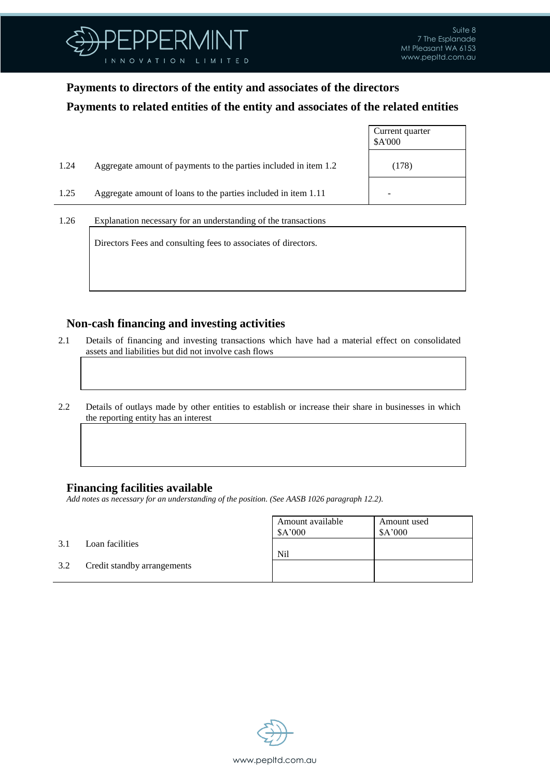

## **Payments to directors of the entity and associates of the directors Payments to related entities of the entity and associates of the related entities**

|      |                                                                  | Current quarter<br>\$A'000 |
|------|------------------------------------------------------------------|----------------------------|
| 1.24 | Aggregate amount of payments to the parties included in item 1.2 | (178)                      |
| 1.25 | Aggregate amount of loans to the parties included in item 1.11   |                            |
| 1.26 | Explanation necessary for an understanding of the transactions   |                            |

Directors Fees and consulting fees to associates of directors.

#### **Non-cash financing and investing activities**

- 2.1 Details of financing and investing transactions which have had a material effect on consolidated assets and liabilities but did not involve cash flows
- 2.2 Details of outlays made by other entities to establish or increase their share in businesses in which the reporting entity has an interest

#### **Financing facilities available**

*Add notes as necessary for an understanding of the position. (See AASB 1026 paragraph 12.2).*

|     |                             | Amount available<br>\$A'000 | Amount used<br>\$A'000 |
|-----|-----------------------------|-----------------------------|------------------------|
| 3.1 | Loan facilities             | Nil                         |                        |
| 3.2 | Credit standby arrangements |                             |                        |
|     |                             |                             |                        |

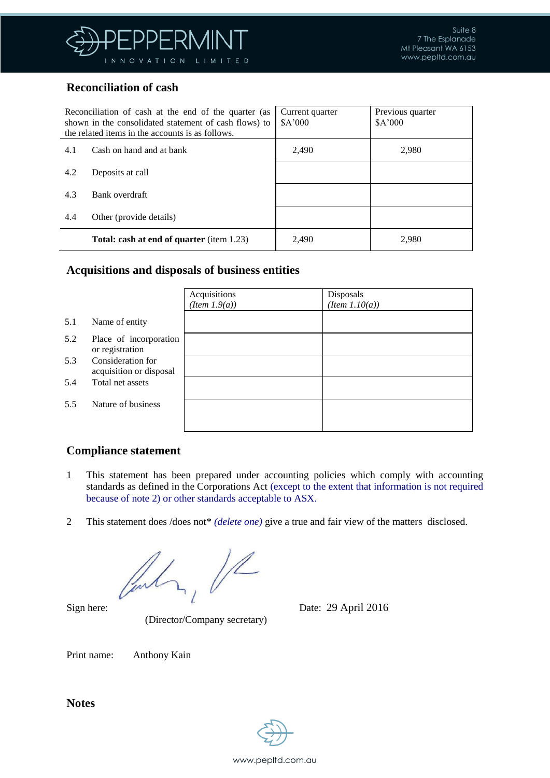

### **Reconciliation of cash**

| Reconciliation of cash at the end of the quarter (as<br>shown in the consolidated statement of cash flows) to<br>the related items in the accounts is as follows. |                                                  | Current quarter<br>A'000 | Previous quarter<br>A'000 |
|-------------------------------------------------------------------------------------------------------------------------------------------------------------------|--------------------------------------------------|--------------------------|---------------------------|
| 4.1                                                                                                                                                               | Cash on hand and at bank                         | 2.490                    | 2.980                     |
| 4.2                                                                                                                                                               | Deposits at call                                 |                          |                           |
| 4.3                                                                                                                                                               | Bank overdraft                                   |                          |                           |
| 4.4                                                                                                                                                               | Other (provide details)                          |                          |                           |
|                                                                                                                                                                   | <b>Total: cash at end of quarter</b> (item 1.23) | 2,490                    | 2,980                     |

#### **Acquisitions and disposals of business entities**

|     |                                              | Acquisitions<br>$(Item\ 1.9(a))$ | Disposals<br>$(Item\ 1.10(a))$ |
|-----|----------------------------------------------|----------------------------------|--------------------------------|
| 5.1 | Name of entity                               |                                  |                                |
| 5.2 | Place of incorporation<br>or registration    |                                  |                                |
| 5.3 | Consideration for<br>acquisition or disposal |                                  |                                |
| 5.4 | Total net assets                             |                                  |                                |
| 5.5 | Nature of business                           |                                  |                                |

#### **Compliance statement**

- 1 This statement has been prepared under accounting policies which comply with accounting standards as defined in the Corporations Act (except to the extent that information is not required because of note 2) or other standards acceptable to ASX.
- 2 This statement does /does not\* *(delete one)* give a true and fair view of the matters disclosed.

 $1/2$ find

(Director/Company secretary)

Sign here: Date: 29 April 2016

Print name: Anthony Kain

**Notes**